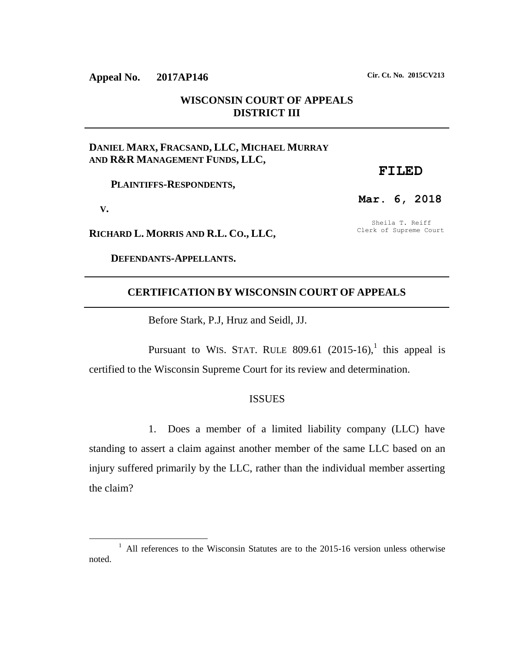# **WISCONSIN COURT OF APPEALS DISTRICT III**

## **DANIEL MARX, FRACSAND, LLC, MICHAEL MURRAY AND R&R MANAGEMENT FUNDS, LLC,**

 **PLAINTIFFS-RESPONDENTS,**

 **V.**

 $\overline{a}$ 

**RICHARD L. MORRIS AND R.L. CO., LLC,**

 **DEFENDANTS-APPELLANTS.**

## **CERTIFICATION BY WISCONSIN COURT OF APPEALS**

Before Stark, P.J, Hruz and Seidl, JJ.

Pursuant to WIS. STAT. RULE 809.61  $(2015-16)$ , this appeal is certified to the Wisconsin Supreme Court for its review and determination.

### ISSUES

1. Does a member of a limited liability company (LLC) have standing to assert a claim against another member of the same LLC based on an injury suffered primarily by the LLC, rather than the individual member asserting the claim?

**Appeal No. 2017AP146 Cir. Ct. No. 2015CV213**

Sheila T. Reiff Clerk of Supreme Court

**FILED**

**Mar. 6, 2018**

<sup>&</sup>lt;sup>1</sup> All references to the Wisconsin Statutes are to the 2015-16 version unless otherwise noted.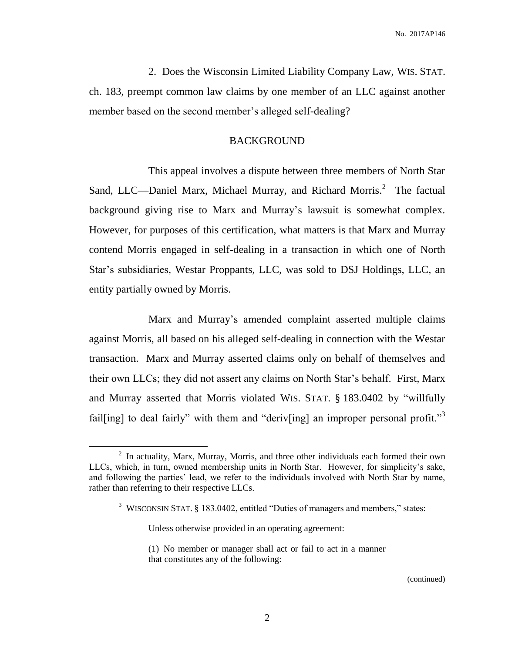2. Does the Wisconsin Limited Liability Company Law, WIS. STAT. ch. 183, preempt common law claims by one member of an LLC against another member based on the second member's alleged self-dealing?

### BACKGROUND

This appeal involves a dispute between three members of North Star Sand, LLC—Daniel Marx, Michael Murray, and Richard Morris.<sup>2</sup> The factual background giving rise to Marx and Murray's lawsuit is somewhat complex. However, for purposes of this certification, what matters is that Marx and Murray contend Morris engaged in self-dealing in a transaction in which one of North Star's subsidiaries, Westar Proppants, LLC, was sold to DSJ Holdings, LLC, an entity partially owned by Morris.

Marx and Murray's amended complaint asserted multiple claims against Morris, all based on his alleged self-dealing in connection with the Westar transaction. Marx and Murray asserted claims only on behalf of themselves and their own LLCs; they did not assert any claims on North Star's behalf. First, Marx and Murray asserted that Morris violated WIS. STAT. § 183.0402 by "willfully fail[ing] to deal fairly" with them and "deriv[ing] an improper personal profit."<sup>3</sup>

 $\overline{a}$ 

 $2$  In actuality, Marx, Murray, Morris, and three other individuals each formed their own LLCs, which, in turn, owned membership units in North Star. However, for simplicity's sake, and following the parties' lead, we refer to the individuals involved with North Star by name, rather than referring to their respective LLCs.

<sup>&</sup>lt;sup>3</sup> WISCONSIN STAT. § 183.0402, entitled "Duties of managers and members," states:

Unless otherwise provided in an operating agreement:

<sup>(1)</sup> No member or manager shall act or fail to act in a manner that constitutes any of the following: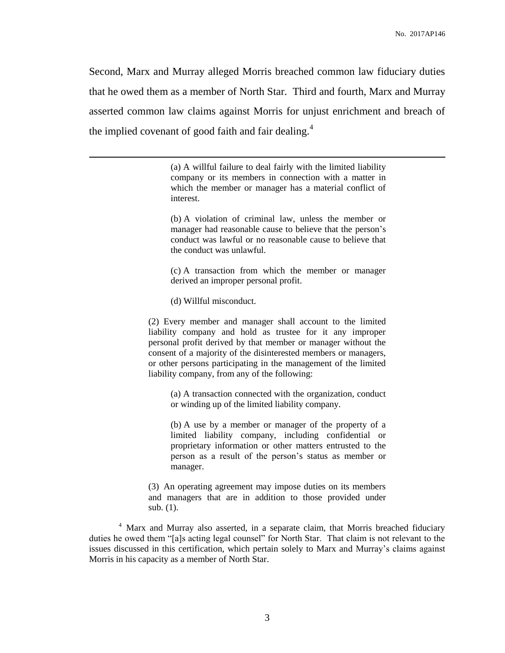Second, Marx and Murray alleged Morris breached common law fiduciary duties that he owed them as a member of North Star. Third and fourth, Marx and Murray asserted common law claims against Morris for unjust enrichment and breach of the implied covenant of good faith and fair dealing. $4$ 

> (a) A willful failure to deal fairly with the limited liability company or its members in connection with a matter in which the member or manager has a material conflict of interest.

> (b) A violation of criminal law, unless the member or manager had reasonable cause to believe that the person's conduct was lawful or no reasonable cause to believe that the conduct was unlawful.

> (c) A transaction from which the member or manager derived an improper personal profit.

(d) Willful misconduct.

 $\overline{a}$ 

(2) Every member and manager shall account to the limited liability company and hold as trustee for it any improper personal profit derived by that member or manager without the consent of a majority of the disinterested members or managers, or other persons participating in the management of the limited liability company, from any of the following:

(a) A transaction connected with the organization, conduct or winding up of the limited liability company.

(b) A use by a member or manager of the property of a limited liability company, including confidential or proprietary information or other matters entrusted to the person as a result of the person's status as member or manager.

(3) An operating agreement may impose duties on its members and managers that are in addition to those provided under sub. (1).

<sup>4</sup> Marx and Murray also asserted, in a separate claim, that Morris breached fiduciary duties he owed them "[a]s acting legal counsel" for North Star. That claim is not relevant to the issues discussed in this certification, which pertain solely to Marx and Murray's claims against Morris in his capacity as a member of North Star.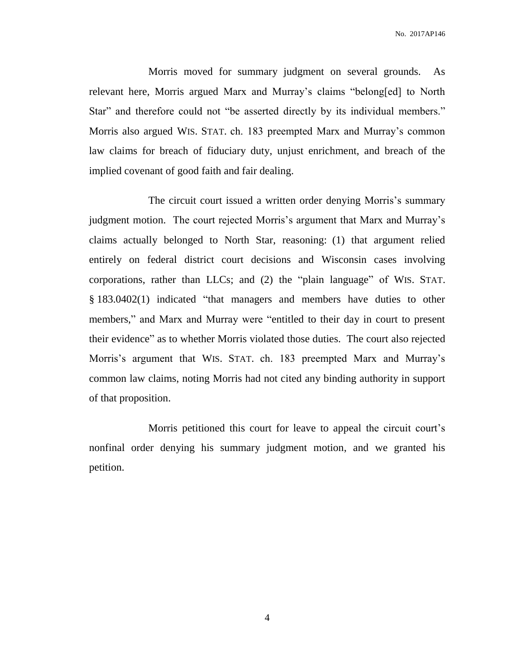No. 2017AP146

Morris moved for summary judgment on several grounds. As relevant here, Morris argued Marx and Murray's claims "belong[ed] to North Star" and therefore could not "be asserted directly by its individual members." Morris also argued WIS. STAT. ch. 183 preempted Marx and Murray's common law claims for breach of fiduciary duty, unjust enrichment, and breach of the implied covenant of good faith and fair dealing.

The circuit court issued a written order denying Morris's summary judgment motion. The court rejected Morris's argument that Marx and Murray's claims actually belonged to North Star, reasoning: (1) that argument relied entirely on federal district court decisions and Wisconsin cases involving corporations, rather than LLCs; and (2) the "plain language" of WIS. STAT. § 183.0402(1) indicated "that managers and members have duties to other members," and Marx and Murray were "entitled to their day in court to present their evidence" as to whether Morris violated those duties. The court also rejected Morris's argument that WIS. STAT. ch. 183 preempted Marx and Murray's common law claims, noting Morris had not cited any binding authority in support of that proposition.

Morris petitioned this court for leave to appeal the circuit court's nonfinal order denying his summary judgment motion, and we granted his petition.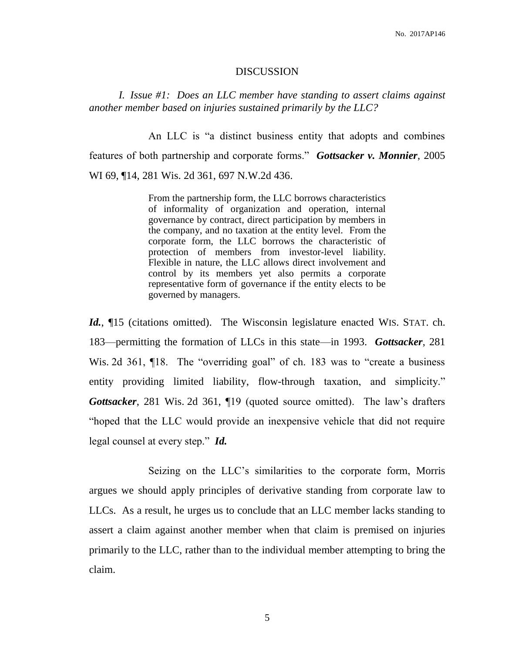#### DISCUSSION

*I. Issue #1: Does an LLC member have standing to assert claims against another member based on injuries sustained primarily by the LLC?*

An LLC is "a distinct business entity that adopts and combines features of both partnership and corporate forms." *Gottsacker v. Monnier*, 2005 WI 69, ¶14, 281 Wis. 2d 361, 697 N.W.2d 436.

> From the partnership form, the LLC borrows characteristics of informality of organization and operation, internal governance by contract, direct participation by members in the company, and no taxation at the entity level. From the corporate form, the LLC borrows the characteristic of protection of members from investor-level liability. Flexible in nature, the LLC allows direct involvement and control by its members yet also permits a corporate representative form of governance if the entity elects to be governed by managers.

*Id.*, ¶15 (citations omitted). The Wisconsin legislature enacted WIS. STAT. ch. 183—permitting the formation of LLCs in this state—in 1993. *Gottsacker*, 281 Wis. 2d 361, 18. The "overriding goal" of ch. 183 was to "create a business" entity providing limited liability, flow-through taxation, and simplicity." *Gottsacker*, 281 Wis. 2d 361, ¶19 (quoted source omitted). The law's drafters "hoped that the LLC would provide an inexpensive vehicle that did not require legal counsel at every step." *Id.*

Seizing on the LLC's similarities to the corporate form, Morris argues we should apply principles of derivative standing from corporate law to LLCs. As a result, he urges us to conclude that an LLC member lacks standing to assert a claim against another member when that claim is premised on injuries primarily to the LLC, rather than to the individual member attempting to bring the claim.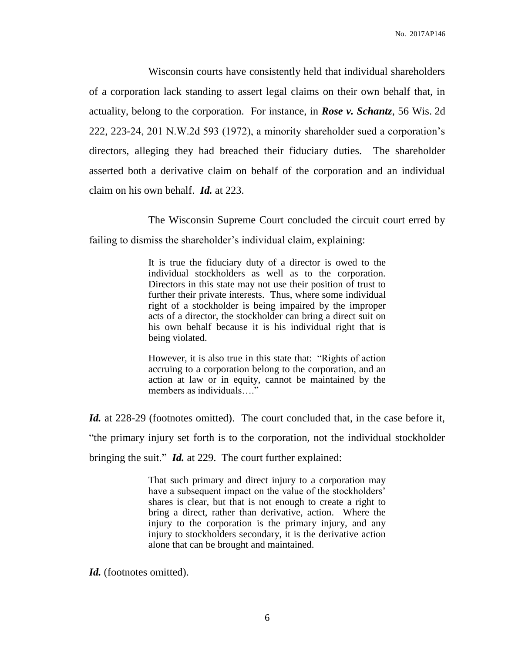Wisconsin courts have consistently held that individual shareholders of a corporation lack standing to assert legal claims on their own behalf that, in actuality, belong to the corporation. For instance, in *Rose v. Schantz*, 56 Wis. 2d 222, 223-24, 201 N.W.2d 593 (1972), a minority shareholder sued a corporation's directors, alleging they had breached their fiduciary duties. The shareholder asserted both a derivative claim on behalf of the corporation and an individual claim on his own behalf. *Id.* at 223.

The Wisconsin Supreme Court concluded the circuit court erred by

failing to dismiss the shareholder's individual claim, explaining:

It is true the fiduciary duty of a director is owed to the individual stockholders as well as to the corporation. Directors in this state may not use their position of trust to further their private interests. Thus, where some individual right of a stockholder is being impaired by the improper acts of a director, the stockholder can bring a direct suit on his own behalf because it is his individual right that is being violated.

However, it is also true in this state that: "Rights of action accruing to a corporation belong to the corporation, and an action at law or in equity, cannot be maintained by the members as individuals...."

*Id.* at 228-29 (footnotes omitted). The court concluded that, in the case before it, "the primary injury set forth is to the corporation, not the individual stockholder bringing the suit." *Id.* at 229. The court further explained:

> That such primary and direct injury to a corporation may have a subsequent impact on the value of the stockholders' shares is clear, but that is not enough to create a right to bring a direct, rather than derivative, action. Where the injury to the corporation is the primary injury, and any injury to stockholders secondary, it is the derivative action alone that can be brought and maintained.

Id. (footnotes omitted).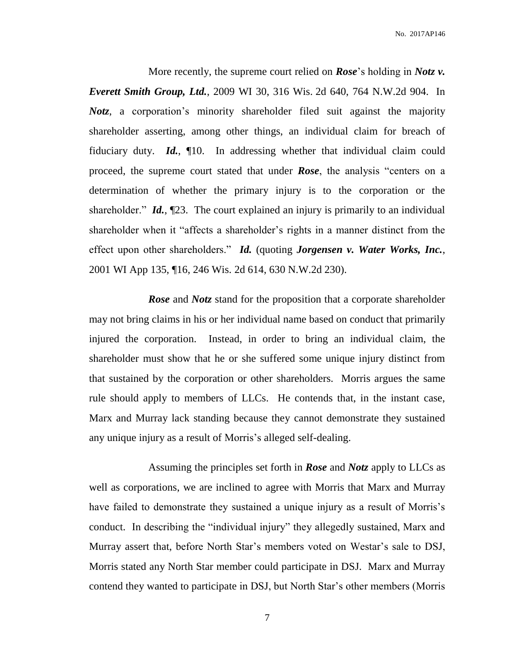More recently, the supreme court relied on *Rose*'s holding in *Notz v. Everett Smith Group, Ltd.*, 2009 WI 30, 316 Wis. 2d 640, 764 N.W.2d 904. In *Notz*, a corporation's minority shareholder filed suit against the majority shareholder asserting, among other things, an individual claim for breach of fiduciary duty. *Id.*, ¶10. In addressing whether that individual claim could proceed, the supreme court stated that under *Rose*, the analysis "centers on a determination of whether the primary injury is to the corporation or the shareholder." *Id.*, ¶23. The court explained an injury is primarily to an individual shareholder when it "affects a shareholder's rights in a manner distinct from the effect upon other shareholders." *Id.* (quoting *Jorgensen v. Water Works, Inc.*, 2001 WI App 135, ¶16, 246 Wis. 2d 614, 630 N.W.2d 230).

*Rose* and *Notz* stand for the proposition that a corporate shareholder may not bring claims in his or her individual name based on conduct that primarily injured the corporation. Instead, in order to bring an individual claim, the shareholder must show that he or she suffered some unique injury distinct from that sustained by the corporation or other shareholders. Morris argues the same rule should apply to members of LLCs. He contends that, in the instant case, Marx and Murray lack standing because they cannot demonstrate they sustained any unique injury as a result of Morris's alleged self-dealing.

Assuming the principles set forth in *Rose* and *Notz* apply to LLCs as well as corporations, we are inclined to agree with Morris that Marx and Murray have failed to demonstrate they sustained a unique injury as a result of Morris's conduct. In describing the "individual injury" they allegedly sustained, Marx and Murray assert that, before North Star's members voted on Westar's sale to DSJ, Morris stated any North Star member could participate in DSJ. Marx and Murray contend they wanted to participate in DSJ, but North Star's other members (Morris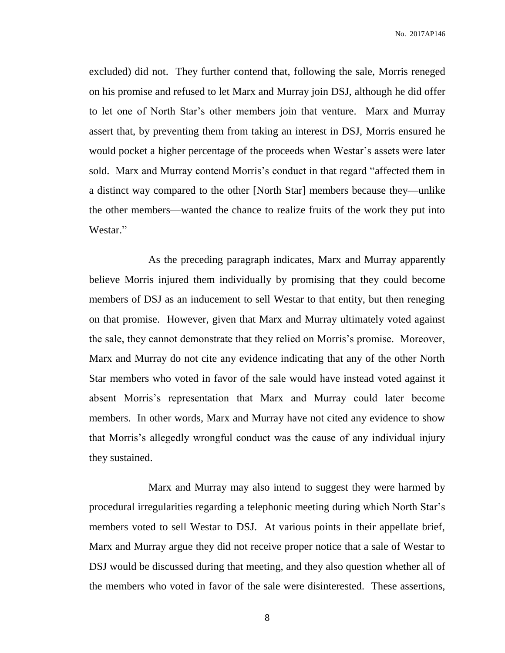No. 2017AP146

excluded) did not. They further contend that, following the sale, Morris reneged on his promise and refused to let Marx and Murray join DSJ, although he did offer to let one of North Star's other members join that venture. Marx and Murray assert that, by preventing them from taking an interest in DSJ, Morris ensured he would pocket a higher percentage of the proceeds when Westar's assets were later sold. Marx and Murray contend Morris's conduct in that regard "affected them in a distinct way compared to the other [North Star] members because they—unlike the other members—wanted the chance to realize fruits of the work they put into Westar."

As the preceding paragraph indicates, Marx and Murray apparently believe Morris injured them individually by promising that they could become members of DSJ as an inducement to sell Westar to that entity, but then reneging on that promise. However, given that Marx and Murray ultimately voted against the sale, they cannot demonstrate that they relied on Morris's promise. Moreover, Marx and Murray do not cite any evidence indicating that any of the other North Star members who voted in favor of the sale would have instead voted against it absent Morris's representation that Marx and Murray could later become members. In other words, Marx and Murray have not cited any evidence to show that Morris's allegedly wrongful conduct was the cause of any individual injury they sustained.

Marx and Murray may also intend to suggest they were harmed by procedural irregularities regarding a telephonic meeting during which North Star's members voted to sell Westar to DSJ. At various points in their appellate brief, Marx and Murray argue they did not receive proper notice that a sale of Westar to DSJ would be discussed during that meeting, and they also question whether all of the members who voted in favor of the sale were disinterested. These assertions,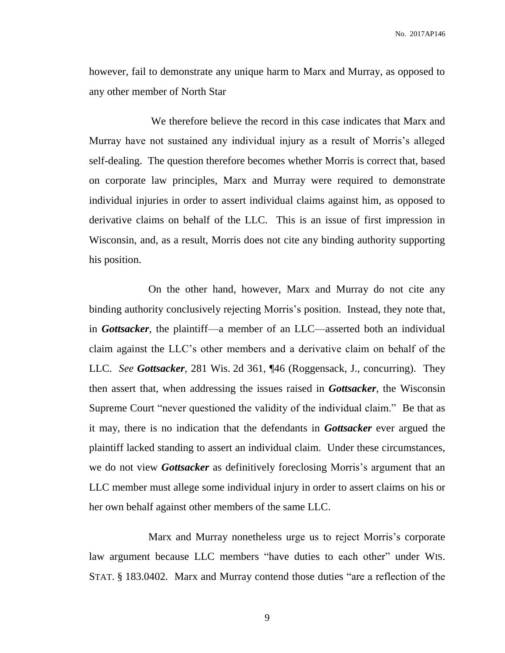however, fail to demonstrate any unique harm to Marx and Murray, as opposed to any other member of North Star

We therefore believe the record in this case indicates that Marx and Murray have not sustained any individual injury as a result of Morris's alleged self-dealing. The question therefore becomes whether Morris is correct that, based on corporate law principles, Marx and Murray were required to demonstrate individual injuries in order to assert individual claims against him, as opposed to derivative claims on behalf of the LLC. This is an issue of first impression in Wisconsin, and, as a result, Morris does not cite any binding authority supporting his position.

On the other hand, however, Marx and Murray do not cite any binding authority conclusively rejecting Morris's position. Instead, they note that, in *Gottsacker*, the plaintiff—a member of an LLC—asserted both an individual claim against the LLC's other members and a derivative claim on behalf of the LLC. *See Gottsacker*, 281 Wis. 2d 361, ¶46 (Roggensack, J., concurring). They then assert that, when addressing the issues raised in *Gottsacker*, the Wisconsin Supreme Court "never questioned the validity of the individual claim." Be that as it may, there is no indication that the defendants in *Gottsacker* ever argued the plaintiff lacked standing to assert an individual claim. Under these circumstances, we do not view *Gottsacker* as definitively foreclosing Morris's argument that an LLC member must allege some individual injury in order to assert claims on his or her own behalf against other members of the same LLC.

Marx and Murray nonetheless urge us to reject Morris's corporate law argument because LLC members "have duties to each other" under WIS. STAT. § 183.0402. Marx and Murray contend those duties "are a reflection of the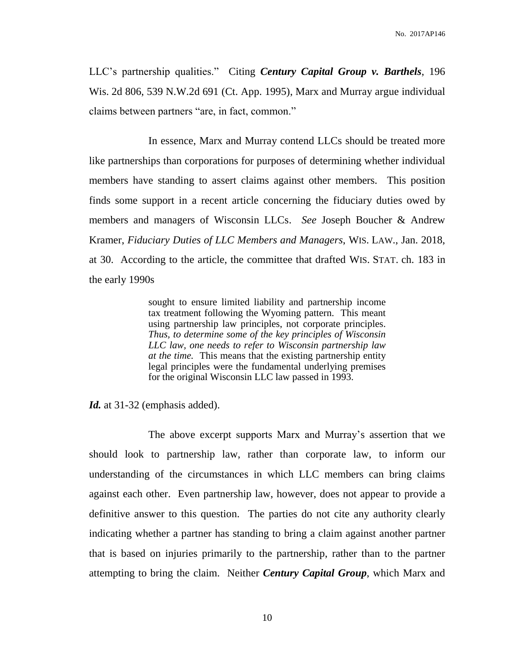LLC's partnership qualities." Citing *Century Capital Group v. Barthels*, 196 Wis. 2d 806, 539 N.W.2d 691 (Ct. App. 1995), Marx and Murray argue individual claims between partners "are, in fact, common."

In essence, Marx and Murray contend LLCs should be treated more like partnerships than corporations for purposes of determining whether individual members have standing to assert claims against other members. This position finds some support in a recent article concerning the fiduciary duties owed by members and managers of Wisconsin LLCs. *See* Joseph Boucher & Andrew Kramer, *Fiduciary Duties of LLC Members and Managers*, WIS. LAW., Jan. 2018, at 30. According to the article, the committee that drafted WIS. STAT. ch. 183 in the early 1990s

> sought to ensure limited liability and partnership income tax treatment following the Wyoming pattern. This meant using partnership law principles, not corporate principles. *Thus, to determine some of the key principles of Wisconsin LLC law, one needs to refer to Wisconsin partnership law at the time.* This means that the existing partnership entity legal principles were the fundamental underlying premises for the original Wisconsin LLC law passed in 1993.

*Id.* at 31-32 (emphasis added).

The above excerpt supports Marx and Murray's assertion that we should look to partnership law, rather than corporate law, to inform our understanding of the circumstances in which LLC members can bring claims against each other. Even partnership law, however, does not appear to provide a definitive answer to this question. The parties do not cite any authority clearly indicating whether a partner has standing to bring a claim against another partner that is based on injuries primarily to the partnership, rather than to the partner attempting to bring the claim. Neither *Century Capital Group*, which Marx and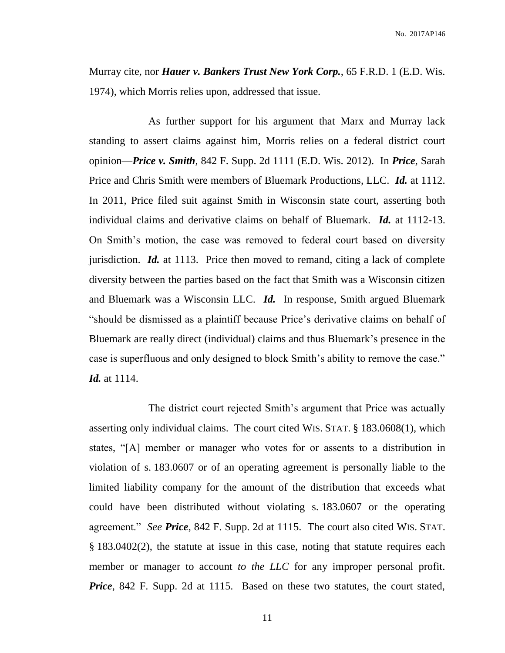Murray cite, nor *Hauer v. Bankers Trust New York Corp.*, 65 F.R.D. 1 (E.D. Wis. 1974), which Morris relies upon, addressed that issue.

As further support for his argument that Marx and Murray lack standing to assert claims against him, Morris relies on a federal district court opinion—*Price v. Smith*, 842 F. Supp. 2d 1111 (E.D. Wis. 2012). In *Price*, Sarah Price and Chris Smith were members of Bluemark Productions, LLC. *Id.* at 1112. In 2011, Price filed suit against Smith in Wisconsin state court, asserting both individual claims and derivative claims on behalf of Bluemark. *Id.* at 1112-13. On Smith's motion, the case was removed to federal court based on diversity jurisdiction. *Id.* at 1113. Price then moved to remand, citing a lack of complete diversity between the parties based on the fact that Smith was a Wisconsin citizen and Bluemark was a Wisconsin LLC. *Id.* In response, Smith argued Bluemark "should be dismissed as a plaintiff because Price's derivative claims on behalf of Bluemark are really direct (individual) claims and thus Bluemark's presence in the case is superfluous and only designed to block Smith's ability to remove the case." *Id.* at 1114.

The district court rejected Smith's argument that Price was actually asserting only individual claims. The court cited WIS. STAT. § 183.0608(1), which states, "[A] member or manager who votes for or assents to a distribution in violation of s. 183.0607 or of an operating agreement is personally liable to the limited liability company for the amount of the distribution that exceeds what could have been distributed without violating s. 183.0607 or the operating agreement." *See Price*, 842 F. Supp. 2d at 1115. The court also cited WIS. STAT. § 183.0402(2), the statute at issue in this case, noting that statute requires each member or manager to account *to the LLC* for any improper personal profit. *Price*, 842 F. Supp. 2d at 1115. Based on these two statutes, the court stated,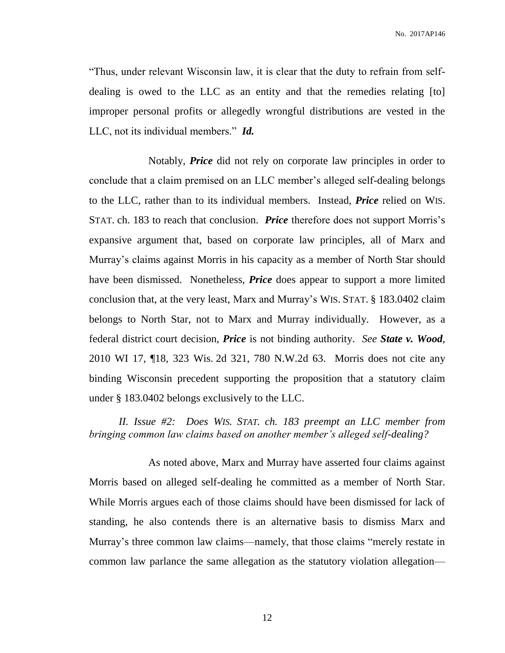No. 2017AP146

"Thus, under relevant Wisconsin law, it is clear that the duty to refrain from selfdealing is owed to the LLC as an entity and that the remedies relating [to] improper personal profits or allegedly wrongful distributions are vested in the LLC, not its individual members." *Id.*

Notably, *Price* did not rely on corporate law principles in order to conclude that a claim premised on an LLC member's alleged self-dealing belongs to the LLC, rather than to its individual members. Instead, *Price* relied on WIS. STAT. ch. 183 to reach that conclusion. *Price* therefore does not support Morris's expansive argument that, based on corporate law principles, all of Marx and Murray's claims against Morris in his capacity as a member of North Star should have been dismissed. Nonetheless, *Price* does appear to support a more limited conclusion that, at the very least, Marx and Murray's WIS. STAT. § 183.0402 claim belongs to North Star, not to Marx and Murray individually. However, as a federal district court decision, *Price* is not binding authority. *See State v. Wood*, 2010 WI 17, ¶18, 323 Wis. 2d 321, 780 N.W.2d 63. Morris does not cite any binding Wisconsin precedent supporting the proposition that a statutory claim under § 183.0402 belongs exclusively to the LLC.

*II. Issue #2: Does WIS. STAT. ch. 183 preempt an LLC member from bringing common law claims based on another member's alleged self-dealing?*

As noted above, Marx and Murray have asserted four claims against Morris based on alleged self-dealing he committed as a member of North Star. While Morris argues each of those claims should have been dismissed for lack of standing, he also contends there is an alternative basis to dismiss Marx and Murray's three common law claims—namely, that those claims "merely restate in common law parlance the same allegation as the statutory violation allegation—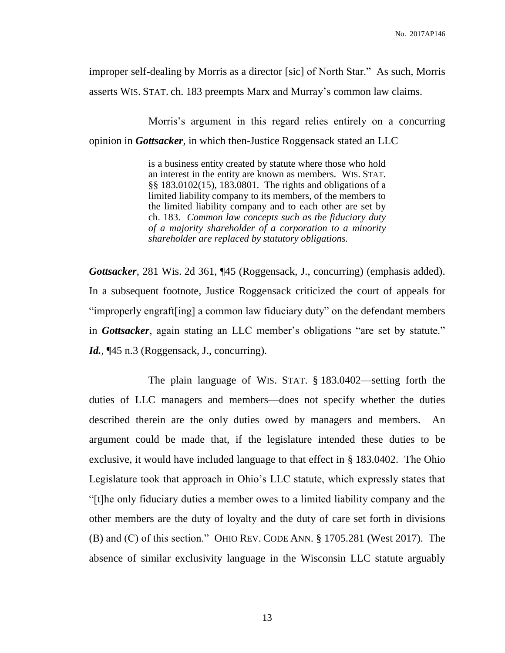improper self-dealing by Morris as a director [sic] of North Star." As such, Morris asserts WIS. STAT. ch. 183 preempts Marx and Murray's common law claims.

Morris's argument in this regard relies entirely on a concurring opinion in *Gottsacker*, in which then-Justice Roggensack stated an LLC

> is a business entity created by statute where those who hold an interest in the entity are known as members. WIS. STAT. §§ 183.0102(15), 183.0801. The rights and obligations of a limited liability company to its members, of the members to the limited liability company and to each other are set by ch. 183. *Common law concepts such as the fiduciary duty of a majority shareholder of a corporation to a minority shareholder are replaced by statutory obligations.*

*Gottsacker*, 281 Wis. 2d 361, ¶45 (Roggensack, J., concurring) (emphasis added). In a subsequent footnote, Justice Roggensack criticized the court of appeals for "improperly engraft[ing] a common law fiduciary duty" on the defendant members in *Gottsacker*, again stating an LLC member's obligations "are set by statute." Id.,  $\P$ 45 n.3 (Roggensack, J., concurring).

The plain language of WIS. STAT. § 183.0402—setting forth the duties of LLC managers and members—does not specify whether the duties described therein are the only duties owed by managers and members. An argument could be made that, if the legislature intended these duties to be exclusive, it would have included language to that effect in § 183.0402. The Ohio Legislature took that approach in Ohio's LLC statute, which expressly states that "[t]he only fiduciary duties a member owes to a limited liability company and the other members are the duty of loyalty and the duty of care set forth in divisions (B) and (C) of this section." OHIO REV. CODE ANN. § 1705.281 (West 2017). The absence of similar exclusivity language in the Wisconsin LLC statute arguably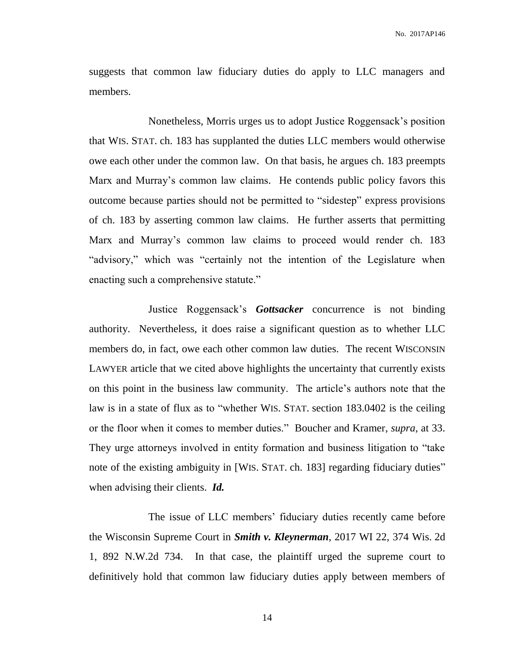suggests that common law fiduciary duties do apply to LLC managers and members.

Nonetheless, Morris urges us to adopt Justice Roggensack's position that WIS. STAT. ch. 183 has supplanted the duties LLC members would otherwise owe each other under the common law. On that basis, he argues ch. 183 preempts Marx and Murray's common law claims. He contends public policy favors this outcome because parties should not be permitted to "sidestep" express provisions of ch. 183 by asserting common law claims. He further asserts that permitting Marx and Murray's common law claims to proceed would render ch. 183 "advisory," which was "certainly not the intention of the Legislature when enacting such a comprehensive statute."

Justice Roggensack's *Gottsacker* concurrence is not binding authority. Nevertheless, it does raise a significant question as to whether LLC members do, in fact, owe each other common law duties. The recent WISCONSIN LAWYER article that we cited above highlights the uncertainty that currently exists on this point in the business law community. The article's authors note that the law is in a state of flux as to "whether WIS. STAT. section 183.0402 is the ceiling or the floor when it comes to member duties." Boucher and Kramer, *supra*, at 33. They urge attorneys involved in entity formation and business litigation to "take note of the existing ambiguity in [WIS. STAT. ch. 183] regarding fiduciary duties" when advising their clients. *Id.*

The issue of LLC members' fiduciary duties recently came before the Wisconsin Supreme Court in *Smith v. Kleynerman*, 2017 WI 22, 374 Wis. 2d 1, 892 N.W.2d 734. In that case, the plaintiff urged the supreme court to definitively hold that common law fiduciary duties apply between members of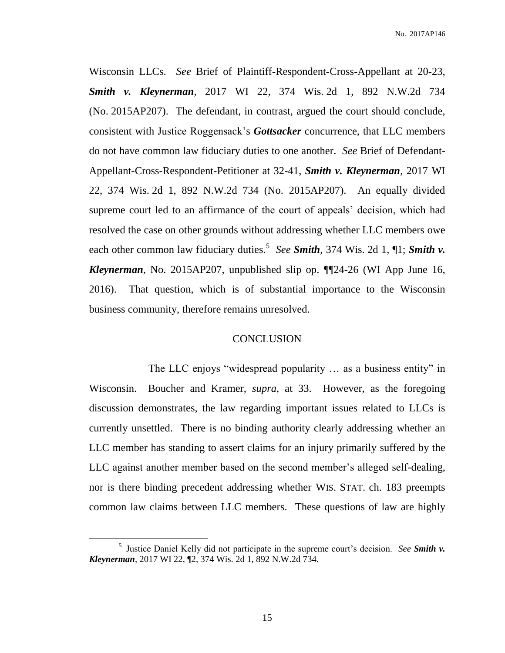Wisconsin LLCs. *See* Brief of Plaintiff-Respondent-Cross-Appellant at 20-23, *Smith v. Kleynerman*, 2017 WI 22, 374 Wis. 2d 1, 892 N.W.2d 734 (No. 2015AP207). The defendant, in contrast, argued the court should conclude, consistent with Justice Roggensack's *Gottsacker* concurrence, that LLC members do not have common law fiduciary duties to one another. *See* Brief of Defendant-Appellant-Cross-Respondent-Petitioner at 32-41, *Smith v. Kleynerman*, 2017 WI 22, 374 Wis. 2d 1, 892 N.W.2d 734 (No. 2015AP207). An equally divided supreme court led to an affirmance of the court of appeals' decision, which had resolved the case on other grounds without addressing whether LLC members owe each other common law fiduciary duties.<sup>5</sup> See **Smith**, 374 Wis. 2d 1, 1, **Smith v.** *Kleynerman*, No. 2015AP207, unpublished slip op. ¶¶24-26 (WI App June 16, 2016). That question, which is of substantial importance to the Wisconsin business community, therefore remains unresolved.

#### **CONCLUSION**

The LLC enjoys "widespread popularity … as a business entity" in Wisconsin. Boucher and Kramer, *supra*, at 33. However, as the foregoing discussion demonstrates, the law regarding important issues related to LLCs is currently unsettled. There is no binding authority clearly addressing whether an LLC member has standing to assert claims for an injury primarily suffered by the LLC against another member based on the second member's alleged self-dealing, nor is there binding precedent addressing whether WIS. STAT. ch. 183 preempts common law claims between LLC members. These questions of law are highly

 $\overline{a}$ 

<sup>5</sup> Justice Daniel Kelly did not participate in the supreme court's decision. *See Smith v. Kleynerman*, 2017 WI 22, ¶2, 374 Wis. 2d 1, 892 N.W.2d 734.